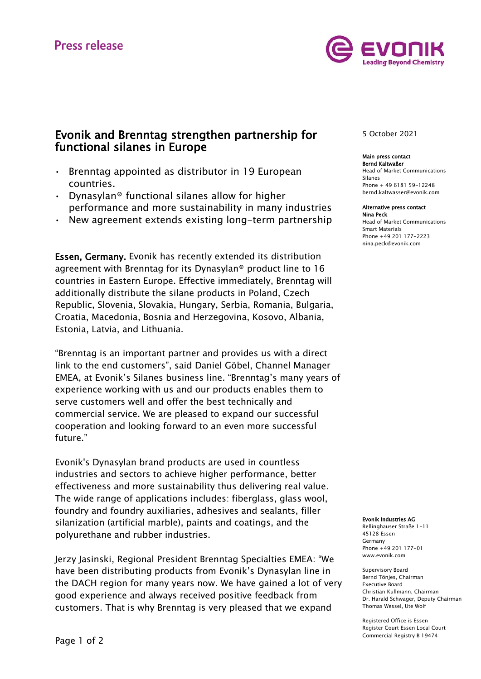

# Evonik and Brenntag strengthen partnership for functional silanes in Europe

- Brenntag appointed as distributor in 19 European countries.
- Dynasylan® functional silanes allow for higher performance and more sustainability in many industries
- New agreement extends existing long-term partnership

Essen, Germany. Evonik has recently extended its distribution agreement with Brenntag for its Dynasylan® product line to 16 countries in Eastern Europe. Effective immediately, Brenntag will additionally distribute the silane products in Poland, Czech Republic, Slovenia, Slovakia, Hungary, Serbia, Romania, Bulgaria, Croatia, Macedonia, Bosnia and Herzegovina, Kosovo, Albania, Estonia, Latvia, and Lithuania.

"Brenntag is an important partner and provides us with a direct link to the end customers", said Daniel Göbel, Channel Manager EMEA, at Evonik's Silanes business line. "Brenntag's many years of experience working with us and our products enables them to serve customers well and offer the best technically and commercial service. We are pleased to expand our successful cooperation and looking forward to an even more successful future."

Evonik's Dynasylan brand products are used in countless industries and sectors to achieve higher performance, better effectiveness and more sustainability thus delivering real value. The wide range of applications includes: fiberglass, glass wool, foundry and foundry auxiliaries, adhesives and sealants, filler silanization (artificial marble), paints and coatings, and the polyurethane and rubber industries.

Jerzy Jasinski, Regional President Brenntag Specialties EMEA: "We have been distributing products from Evonik's Dynasylan line in the DACH region for many years now. We have gained a lot of very good experience and always received positive feedback from customers. That is why Brenntag is very pleased that we expand

# 5 October 2021

#### Main press contact Bernd Kaltwaßer

Head of Market Communications Silanes Phone + 49 6181 59-12248 bernd.kaltwasser@evonik.com

# Alternative press contact

Nina Peck Head of Market Communications Smart Materials Phone +49 201 177-2223 nina.peck@evonik.com

#### Evonik Industries AG

Rellinghauser Straße 1-11 45128 Essen Germany Phone +49 201 177-01 www.evonik.com

Supervisory Board Bernd Tönjes, Chairman Executive Board Christian Kullmann, Chairman Dr. Harald Schwager, Deputy Chairman Thomas Wessel, Ute Wolf

Registered Office is Essen Register Court Essen Local Court Commercial Registry B 19474